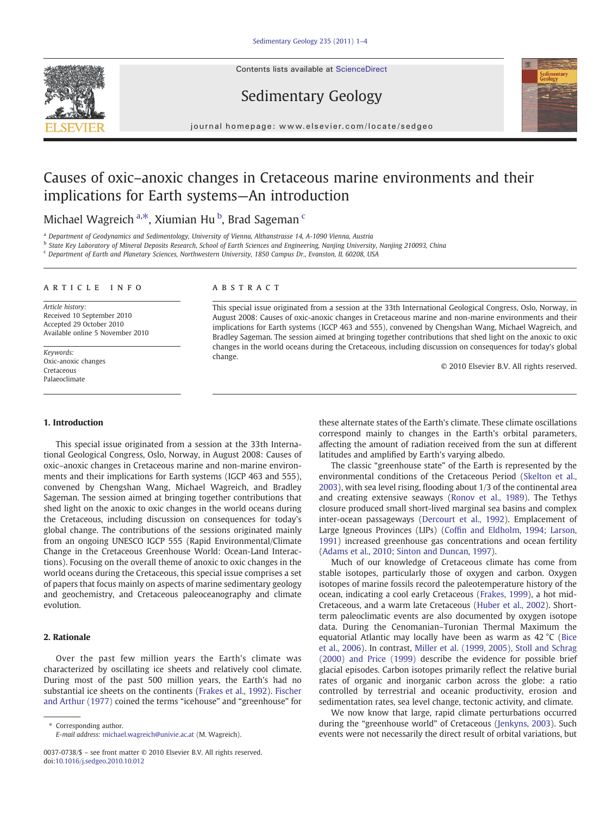Contents lists available at [ScienceDirect](http://www.sciencedirect.com/science/journal/00370738)





Sedimentary Geology

journal homepage: www.elsevier.com/locate/sedgeo

# Causes of oxic–anoxic changes in Cretaceous marine environments and their implications for Earth systems—An introduction

Michael Wagreich <sup>a,\*</sup>, Xiumian Hu <sup>b</sup>, Brad Sageman <sup>c</sup>

<sup>a</sup> Department of Geodynamics and Sedimentology, University of Vienna, Althanstrasse 14, A-1090 Vienna, Austria

<sup>b</sup> State Kev Laboratory of Mineral Deposits Research, School of Earth Sciences and Engineering, Nanjing University, Nanjing 210093, China

<sup>c</sup> Department of Earth and Planetary Sciences, Northwestern University, 1850 Campus Dr., Evanston, IL 60208, USA

## article info abstract

Article history: Received 10 September 2010 Accepted 29 October 2010 Available online 5 November 2010

Keywords: Oxic-anoxic changes Cretaceous Palaeoclimate

# 1. Introduction

This special issue originated from a session at the 33th International Geological Congress, Oslo, Norway, in August 2008: Causes of oxic–anoxic changes in Cretaceous marine and non-marine environments and their implications for Earth systems (IGCP 463 and 555), convened by Chengshan Wang, Michael Wagreich, and Bradley Sageman. The session aimed at bringing together contributions that shed light on the anoxic to oxic changes in the world oceans during the Cretaceous, including discussion on consequences for today's global change. The contributions of the sessions originated mainly from an ongoing UNESCO IGCP 555 (Rapid Environmental/Climate Change in the Cretaceous Greenhouse World: Ocean-Land Interactions). Focusing on the overall theme of anoxic to oxic changes in the world oceans during the Cretaceous, this special issue comprises a set of papers that focus mainly on aspects of marine sedimentary geology and geochemistry, and Cretaceous paleoceanography and climate evolution.

# 2. Rationale

Over the past few million years the Earth's climate was characterized by oscillating ice sheets and relatively cool climate. During most of the past 500 million years, the Earth's had no substantial ice sheets on the continents ([Frakes et al., 1992\)](#page-2-0). [Fischer](#page-2-0) [and Arthur \(1977\)](#page-2-0) coined the terms "icehouse" and "greenhouse" for

⁎ Corresponding author. E-mail address: [michael.wagreich@univie.ac.at](mailto:michael.wagreich@univie.ac.at) (M. Wagreich).

This special issue originated from a session at the 33th International Geological Congress, Oslo, Norway, in August 2008: Causes of oxic-anoxic changes in Cretaceous marine and non-marine environments and their implications for Earth systems (IGCP 463 and 555), convened by Chengshan Wang, Michael Wagreich, and Bradley Sageman. The session aimed at bringing together contributions that shed light on the anoxic to oxic changes in the world oceans during the Cretaceous, including discussion on consequences for today's global change.

© 2010 Elsevier B.V. All rights reserved.

these alternate states of the Earth's climate. These climate oscillations correspond mainly to changes in the Earth's orbital parameters, affecting the amount of radiation received from the sun at different latitudes and amplified by Earth's varying albedo.

The classic "greenhouse state" of the Earth is represented by the environmental conditions of the Cretaceous Period ([Skelton et al.,](#page-2-0) [2003\)](#page-2-0), with sea level rising, flooding about 1/3 of the continental area and creating extensive seaways [\(Ronov et al., 1989](#page-2-0)). The Tethys closure produced small short-lived marginal sea basins and complex inter-ocean passageways [\(Dercourt et al., 1992\)](#page-2-0). Emplacement of Large Igneous Provinces (LIPs) (Coffi[n and Eldholm, 1994; Larson,](#page-2-0) [1991\)](#page-2-0) increased greenhouse gas concentrations and ocean fertility [\(Adams et al., 2010; Sinton and Duncan, 1997](#page-2-0)).

Much of our knowledge of Cretaceous climate has come from stable isotopes, particularly those of oxygen and carbon. Oxygen isotopes of marine fossils record the paleotemperature history of the ocean, indicating a cool early Cretaceous [\(Frakes, 1999\)](#page-2-0), a hot mid-Cretaceous, and a warm late Cretaceous [\(Huber et al., 2002\)](#page-2-0). Shortterm paleoclimatic events are also documented by oxygen isotope data. During the Cenomanian–Turonian Thermal Maximum the equatorial Atlantic may locally have been as warm as 42 °C ([Bice](#page-2-0) [et al., 2006](#page-2-0)). In contrast, [Miller et al. \(1999, 2005\), Stoll and Schrag](#page-2-0) [\(2000\) and Price \(1999\)](#page-2-0) describe the evidence for possible brief glacial episodes. Carbon isotopes primarily reflect the relative burial rates of organic and inorganic carbon across the globe: a ratio controlled by terrestrial and oceanic productivity, erosion and sedimentation rates, sea level change, tectonic activity, and climate.

We now know that large, rapid climate perturbations occurred during the "greenhouse world" of Cretaceous ([Jenkyns, 2003\)](#page-2-0). Such events were not necessarily the direct result of orbital variations, but

<sup>0037-0738/\$</sup> – see front matter © 2010 Elsevier B.V. All rights reserved. doi:[10.1016/j.sedgeo.2010.10.012](http://dx.doi.org/10.1016/j.sedgeo.2010.10.012)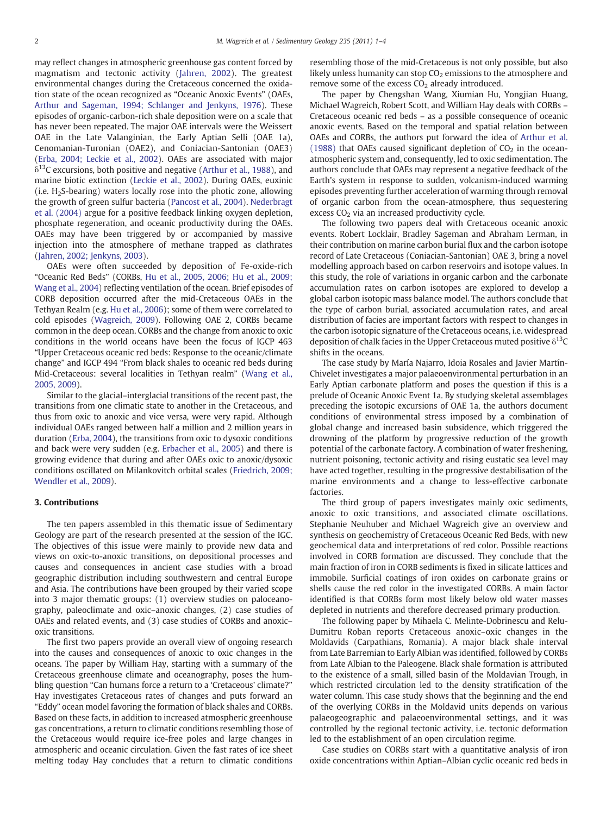may reflect changes in atmospheric greenhouse gas content forced by magmatism and tectonic activity ([Jahren, 2002\)](#page-2-0). The greatest environmental changes during the Cretaceous concerned the oxidation state of the ocean recognized as "Oceanic Anoxic Events" (OAEs, [Arthur and Sageman, 1994; Schlanger and Jenkyns, 1976](#page-2-0)). These episodes of organic-carbon-rich shale deposition were on a scale that has never been repeated. The major OAE intervals were the Weissert OAE in the Late Valanginian, the Early Aptian Selli (OAE 1a), Cenomanian-Turonian (OAE2), and Coniacian-Santonian (OAE3) [\(Erba, 2004; Leckie et al., 2002\)](#page-2-0). OAEs are associated with major  $\delta^{13}$ C excursions, both positive and negative [\(Arthur et al., 1988\)](#page-2-0), and marine biotic extinction ([Leckie et al., 2002\)](#page-2-0). During OAEs, euxinic (i.e. H2S-bearing) waters locally rose into the photic zone, allowing the growth of green sulfur bacteria [\(Pancost et al., 2004](#page-2-0)). [Nederbragt](#page-2-0) [et al. \(2004\)](#page-2-0) argue for a positive feedback linking oxygen depletion, phosphate regeneration, and oceanic productivity during the OAEs. OAEs may have been triggered by or accompanied by massive injection into the atmosphere of methane trapped as clathrates [\(Jahren, 2002; Jenkyns, 2003](#page-2-0)).

OAEs were often succeeded by deposition of Fe-oxide-rich "Oceanic Red Beds" (CORBs, [Hu et al., 2005, 2006; Hu et al., 2009;](#page-2-0) [Wang et al., 2004\)](#page-2-0) reflecting ventilation of the ocean. Brief episodes of CORB deposition occurred after the mid-Cretaceous OAEs in the Tethyan Realm (e.g. [Hu et al., 2006\)](#page-2-0); some of them were correlated to cold episodes ([Wagreich, 2009\)](#page-2-0). Following OAE 2, CORBs became common in the deep ocean. CORBs and the change from anoxic to oxic conditions in the world oceans have been the focus of IGCP 463 "Upper Cretaceous oceanic red beds: Response to the oceanic/climate change" and IGCP 494 "From black shales to oceanic red beds during Mid-Cretaceous: several localities in Tethyan realm" ([Wang et al.,](#page-3-0) [2005, 2009](#page-3-0)).

Similar to the glacial–interglacial transitions of the recent past, the transitions from one climatic state to another in the Cretaceous, and thus from oxic to anoxic and vice versa, were very rapid. Although individual OAEs ranged between half a million and 2 million years in duration ([Erba, 2004](#page-2-0)), the transitions from oxic to dysoxic conditions and back were very sudden (e.g. [Erbacher et al., 2005](#page-2-0)) and there is growing evidence that during and after OAEs oxic to anoxic/dysoxic conditions oscillated on Milankovitch orbital scales [\(Friedrich, 2009;](http://dx.doi.org/10.1016/j.revmic.2009.06.001) [Wendler et al., 2009\)](http://dx.doi.org/10.1016/j.revmic.2009.06.001).

# 3. Contributions

The ten papers assembled in this thematic issue of Sedimentary Geology are part of the research presented at the session of the IGC. The objectives of this issue were mainly to provide new data and views on oxic-to-anoxic transitions, on depositional processes and causes and consequences in ancient case studies with a broad geographic distribution including southwestern and central Europe and Asia. The contributions have been grouped by their varied scope into 3 major thematic groups: (1) overview studies on paloceanography, paleoclimate and oxic–anoxic changes, (2) case studies of OAEs and related events, and (3) case studies of CORBs and anoxic– oxic transitions.

The first two papers provide an overall view of ongoing research into the causes and consequences of anoxic to oxic changes in the oceans. The paper by William Hay, starting with a summary of the Cretaceous greenhouse climate and oceanography, poses the humbling question "Can humans force a return to a 'Cretaceous' climate?" Hay investigates Cretaceous rates of changes and puts forward an "Eddy" ocean model favoring the formation of black shales and CORBs. Based on these facts, in addition to increased atmospheric greenhouse gas concentrations, a return to climatic conditions resembling those of the Cretaceous would require ice-free poles and large changes in atmospheric and oceanic circulation. Given the fast rates of ice sheet melting today Hay concludes that a return to climatic conditions

resembling those of the mid-Cretaceous is not only possible, but also likely unless humanity can stop  $CO<sub>2</sub>$  emissions to the atmosphere and remove some of the excess  $CO<sub>2</sub>$  already introduced.

The paper by Chengshan Wang, Xiumian Hu, Yongjian Huang, Michael Wagreich, Robert Scott, and William Hay deals with CORBs – Cretaceous oceanic red beds – as a possible consequence of oceanic anoxic events. Based on the temporal and spatial relation between OAEs and CORBs, the authors put forward the idea of [Arthur et al.](#page-2-0) [\(1988\)](#page-2-0) that OAEs caused significant depletion of  $CO<sub>2</sub>$  in the oceanatmospheric system and, consequently, led to oxic sedimentation. The authors conclude that OAEs may represent a negative feedback of the Earth's system in response to sudden, volcanism-induced warming episodes preventing further acceleration of warming through removal of organic carbon from the ocean-atmosphere, thus sequestering excess  $CO<sub>2</sub>$  via an increased productivity cycle.

The following two papers deal with Cretaceous oceanic anoxic events. Robert Locklair, Bradley Sageman and Abraham Lerman, in their contribution on marine carbon burial flux and the carbon isotope record of Late Cretaceous (Coniacian-Santonian) OAE 3, bring a novel modelling approach based on carbon reservoirs and isotope values. In this study, the role of variations in organic carbon and the carbonate accumulation rates on carbon isotopes are explored to develop a global carbon isotopic mass balance model. The authors conclude that the type of carbon burial, associated accumulation rates, and areal distribution of facies are important factors with respect to changes in the carbon isotopic signature of the Cretaceous oceans, i.e. widespread deposition of chalk facies in the Upper Cretaceous muted positive  $\delta^{13}$ C shifts in the oceans.

The case study by María Najarro, Idoia Rosales and Javier Martín-Chivelet investigates a major palaeoenvironmental perturbation in an Early Aptian carbonate platform and poses the question if this is a prelude of Oceanic Anoxic Event 1a. By studying skeletal assemblages preceding the isotopic excursions of OAE 1a, the authors document conditions of environmental stress imposed by a combination of global change and increased basin subsidence, which triggered the drowning of the platform by progressive reduction of the growth potential of the carbonate factory. A combination of water freshening, nutrient poisoning, tectonic activity and rising eustatic sea level may have acted together, resulting in the progressive destabilisation of the marine environments and a change to less-effective carbonate factories.

The third group of papers investigates mainly oxic sediments, anoxic to oxic transitions, and associated climate oscillations. Stephanie Neuhuber and Michael Wagreich give an overview and synthesis on geochemistry of Cretaceous Oceanic Red Beds, with new geochemical data and interpretations of red color. Possible reactions involved in CORB formation are discussed. They conclude that the main fraction of iron in CORB sediments is fixed in silicate lattices and immobile. Surficial coatings of iron oxides on carbonate grains or shells cause the red color in the investigated CORBs. A main factor identified is that CORBs form most likely below old water masses depleted in nutrients and therefore decreased primary production.

The following paper by Mihaela C. Melinte-Dobrinescu and Relu-Dumitru Roban reports Cretaceous anoxic–oxic changes in the Moldavids (Carpathians, Romania). A major black shale interval from Late Barremian to Early Albian was identified, followed by CORBs from Late Albian to the Paleogene. Black shale formation is attributed to the existence of a small, silled basin of the Moldavian Trough, in which restricted circulation led to the density stratification of the water column. This case study shows that the beginning and the end of the overlying CORBs in the Moldavid units depends on various palaeogeographic and palaeoenvironmental settings, and it was controlled by the regional tectonic activity, i.e. tectonic deformation led to the establishment of an open circulation regime.

Case studies on CORBs start with a quantitative analysis of iron oxide concentrations within Aptian–Albian cyclic oceanic red beds in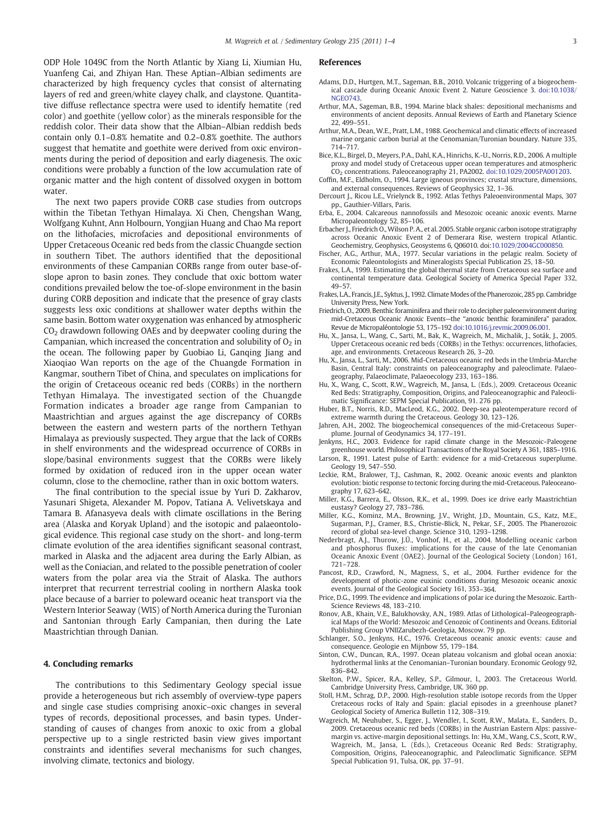<span id="page-2-0"></span>ODP Hole 1049C from the North Atlantic by Xiang Li, Xiumian Hu, Yuanfeng Cai, and Zhiyan Han. These Aptian–Albian sediments are characterized by high frequency cycles that consist of alternating layers of red and green/white clayey chalk, and claystone. Quantitative diffuse reflectance spectra were used to identify hematite (red color) and goethite (yellow color) as the minerals responsible for the reddish color. Their data show that the Albian–Albian reddish beds contain only 0.1–0.8% hematite and 0.2–0.8% goethite. The authors suggest that hematite and goethite were derived from oxic environments during the period of deposition and early diagenesis. The oxic conditions were probably a function of the low accumulation rate of organic matter and the high content of dissolved oxygen in bottom water.

The next two papers provide CORB case studies from outcrops within the Tibetan Tethyan Himalaya. Xi Chen, Chengshan Wang, Wolfgang Kuhnt, Ann Holbourn, Yongjian Huang and Chao Ma report on the lithofacies, microfacies and depositional environments of Upper Cretaceous Oceanic red beds from the classic Chuangde section in southern Tibet. The authors identified that the depositional environments of these Campanian CORBs range from outer base-ofslope apron to basin zones. They conclude that oxic bottom water conditions prevailed below the toe-of-slope environment in the basin during CORB deposition and indicate that the presence of gray clasts suggests less oxic conditions at shallower water depths within the same basin. Bottom water oxygenation was enhanced by atmospheric  $CO<sub>2</sub>$  drawdown following OAEs and by deepwater cooling during the Campanian, which increased the concentration and solubility of  $O<sub>2</sub>$  in the ocean. The following paper by Guobiao Li, Ganqing Jiang and Xiaoqiao Wan reports on the age of the Chuangde Formation in Kangmar, southern Tibet of China, and speculates on implications for the origin of Cretaceous oceanic red beds (CORBs) in the northern Tethyan Himalaya. The investigated section of the Chuangde Formation indicates a broader age range from Campanian to Maastrichtian and argues against the age discrepancy of CORBs between the eastern and western parts of the northern Tethyan Himalaya as previously suspected. They argue that the lack of CORBs in shelf environments and the widespread occurrence of CORBs in slope/basinal environments suggest that the CORBs were likely formed by oxidation of reduced iron in the upper ocean water column, close to the chemocline, rather than in oxic bottom waters.

The final contribution to the special issue by Yuri D. Zakharov, Yasunari Shigeta, Alexander M. Popov, Tatiana A. Velivetskaya and Tamara B. Afanasyeva deals with climate oscillations in the Bering area (Alaska and Koryak Upland) and the isotopic and palaeontological evidence. This regional case study on the short- and long-term climate evolution of the area identifies significant seasonal contrast, marked in Alaska and the adjacent area during the Early Albian, as well as the Coniacian, and related to the possible penetration of cooler waters from the polar area via the Strait of Alaska. The authors interpret that recurrent terrestrial cooling in northern Alaska took place because of a barrier to poleward oceanic heat transport via the Western Interior Seaway (WIS) of North America during the Turonian and Santonian through Early Campanian, then during the Late Maastrichtian through Danian.

### 4. Concluding remarks

The contributions to this Sedimentary Geology special issue provide a heterogeneous but rich assembly of overview-type papers and single case studies comprising anoxic–oxic changes in several types of records, depositional processes, and basin types. Understanding of causes of changes from anoxic to oxic from a global perspective up to a single restricted basin view gives important constraints and identifies several mechanisms for such changes, involving climate, tectonics and biology.

# References

- Adams, D.D., Hurtgen, M.T., Sageman, B.B., 2010. Volcanic triggering of a biogeochemical cascade during Oceanic Anoxic Event 2. Nature Geoscience 3. doi:10.1038/ NGEO743.
- Arthur, M.A., Sageman, B.B., 1994. Marine black shales: depositional mechanisms and environments of ancient deposits. Annual Reviews of Earth and Planetary Science 22, 499–551.
- Arthur, M.A., Dean, W.E., Pratt, L.M., 1988. Geochemical and climatic effects of increased marine organic carbon burial at the Cenomanian/Turonian boundary. Nature 335, 714–717.
- Bice, K.L., Birgel, D., Meyers, P.A., Dahl, K.A., Hinrichs, K.-U., Norris, R.D., 2006. A multiple proxy and model study of Cretaceous upper ocean temperatures and atmospheric CO2 concentrations. Paleoceanography 21, PA2002. doi:10.1029/2005PA001203.
- Coffin, M.F., Eldholm, O., 1994. Large igneous provinces; crustal structure, dimensions, and external consequences. Reviews of Geophysics 32, 1–36.
- Dercourt J., Ricou L.E., Vrielynck B., 1992. Atlas Tethys Paleoenvironmental Maps, 307 pp., Gauthier-Villars, Paris.
- Erba, E., 2004. Calcareous nannofossils and Mesozoic oceanic anoxic events. Marne Micropaleontology 52, 85–106.
- Erbacher J., Friedrich O.,Wilson P. A., et al. 2005. Stable organic carbon isotope stratigraphy across Oceanic Anoxic Event 2 of Demerara Rise, western tropical Atlantic. Geochemistry, Geophysics, Geosystems 6, Q06010. doi:10.1029/2004GC000850.
- Fischer, A.G., Arthur, M.A., 1977. Secular variations in the pelagic realm. Society of Economic Paleontologists and Mineralogists Special Publication 25, 18–50.
- Frakes, L.A., 1999. Estimating the global thermal state from Cretaceous sea surface and continental temperature data. Geological Society of America Special Paper 332, 49–57.
- Frakes, L.A., Francis, J.E., Syktus, J., 1992. Climate Modes of the Phanerozoic, 285 pp. Cambridge University Press, New York.
- Friedrich, O., 2009. Benthic foraminifera and their role to decipher paleoenvironment during mid-Cretaceous Oceanic Anoxic Events—the "anoxic benthic foraminifera" paradox. Revue de Micropaléontologie 53, 175–192 doi:10.1016/j.revmic.2009.06.001.
- Hu, X., Jansa, L., Wang, C., Sarti, M., Bak, K., Wagreich, M., Michalik, J., Soták, J., 2005. Upper Cretaceous oceanic red beds (CORBs) in the Tethys: occurrences, lithofacies, age, and environments. Cretaceous Research 26, 3–20.
- Hu, X., Jansa, L., Sarti, M., 2006. Mid-Cretaceous oceanic red beds in the Umbria-Marche Basin, Central Italy: constraints on paleoceanography and paleoclimate. Palaeogeography, Palaeoclimate, Palaeoecology 233, 163–186.
- Hu, X., Wang, C., Scott, R.W., Wagreich, M., Jansa, L. (Eds.), 2009. Cretaceous Oceanic Red Beds: Stratigraphy, Composition, Origins, and Paleoceanographic and Paleoclimatic Significance: SEPM Special Publication, 91. 276 pp.
- Huber, B.T., Norris, R.D., MacLeod, K.G., 2002. Deep-sea paleotemperature record of extreme warmth during the Cretaceous. Geology 30, 123–126.
- Jahren, A.H., 2002. The biogeochemical consequences of the mid-Cretaceous Superplume. Journal of Geodynamics 34, 177–191.
- Jenkyns, H.C., 2003. Evidence for rapid climate change in the Mesozoic–Paleogene greenhouse world. Philosophical Transactions of the Royal Society A 361, 1885–1916.
- Larson, R., 1991. Latest pulse of Earth: evidence for a mid-Cretaceous superplume. Geology 19, 547–550.
- Leckie, R.M., Bralower, T.J., Cashman, R., 2002. Oceanic anoxic events and plankton evolution: biotic response to tectonic forcing during the mid-Cretaceous. Paleoceanography 17, 623–642.
- Miller, K.G., Barrera, E., Olsson, R.K., et al., 1999. Does ice drive early Maastrichtian eustasy? Geology 27, 783–786.
- Miller, K.G., Kominz, M.A., Browning, J.V., Wright, J.D., Mountain, G.S., Katz, M.E., Sugarman, P.J., Cramer, B.S., Christie-Blick, N., Pekar, S.F., 2005. The Phanerozoic record of global sea-level change. Science 310, 1293–1298.
- Nederbragt, A.J., Thurow, J.Ü., Vonhof, H., et al., 2004. Modelling oceanic carbon and phosphorus fluxes: implications for the cause of the late Cenomanian Oceanic Anoxic Event (OAE2). Journal of the Geological Society (London) 161, 721–728.
- Pancost, R.D., Crawford, N., Magness, S., et al., 2004. Further evidence for the development of photic-zone euxinic conditions during Mesozoic oceanic anoxic events. Journal of the Geological Society 161, 353–364.
- Price, D.G., 1999. The evidence and implications of polar ice during the Mesozoic. Earth-Science Reviews 48, 183–210.
- Ronov, A.B., Khain, V.E., Balukhovsky, A.N., 1989. Atlas of Lithological–Paleogeographical Maps of the World: Mesozoic and Cenozoic of Continents and Oceans. Editorial Publishing Group VNIIZarubezh-Geologia, Moscow. 79 pp.
- Schlanger, S.O., Jenkyns, H.C., 1976. Cretaceous oceanic anoxic events: cause and consequence. Geologie en Mijnbow 55, 179–184.
- Sinton, C.W., Duncan, R.A., 1997. Ocean plateau volcanism and global ocean anoxia: hydrothermal links at the Cenomanian–Turonian boundary. Economic Geology 92, 836–842.
- Skelton, P.W., Spicer, R.A., Kelley, S.P., Gilmour, I., 2003. The Cretaceous World. Cambridge University Press, Cambridge, UK. 360 pp.
- Stoll, H.M., Schrag, D.P., 2000. High-resolution stable isotope records from the Upper Cretaceous rocks of Italy and Spain: glacial episodes in a greenhouse planet? Geological Society of America Bulletin 112, 308–319.
- Wagreich, M, Neuhuber, S., Egger, J., Wendler, I., Scott, R.W., Malata, E., Sanders, D., 2009. Cretaceous oceanic red beds (CORBs) in the Austrian Eastern Alps: passivemargin vs. active-margin depositional settings. In: Hu, X.M., Wang, C.S., Scott, R.W., Wagreich, M., Jansa, L. (Eds.), Cretaceous Oceanic Red Beds: Stratigraphy, Composition, Origins, Paleoceanographic, and Paleoclimatic Significance. SEPM Special Publication 91, Tulsa, OK, pp. 37–91.